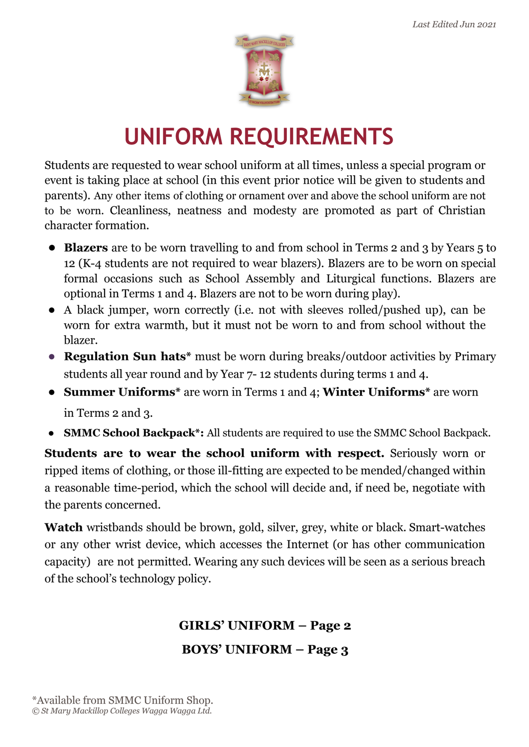

# **UNIFORM REQUIREMENTS**

Students are requested to wear school uniform at all times, unless a special program or event is taking place at school (in this event prior notice will be given to students and parents). Any other items of clothing or ornament over and above the school uniform are not to be worn. Cleanliness, neatness and modesty are promoted as part of Christian character formation.

- **● Blazers** are to be worn travelling to and from school in Terms 2 and 3 by Years 5 to 12 (K-4 students are not required to wear blazers). Blazers are to be worn on special formal occasions such as School Assembly and Liturgical functions. Blazers are optional in Terms 1 and 4. Blazers are not to be worn during play).
- A black jumper, worn correctly (i.e. not with sleeves rolled/pushed up), can be worn for extra warmth, but it must not be worn to and from school without the blazer.
- **● Regulation Sun hats\*** must be worn during breaks/outdoor activities by Primary students all year round and by Year 7- 12 students during terms 1 and 4.
- **● Summer Uniforms\*** are worn in Terms 1 and 4; **Winter Uniforms\*** are worn in Terms 2 and 3.
- **● SMMC School Backpack\*:** All students are required to use the SMMC School Backpack.

**Students are to wear the school uniform with respect.** Seriously worn or ripped items of clothing, or those ill-fitting are expected to be mended/changed within a reasonable time-period, which the school will decide and, if need be, negotiate with the parents concerned.

**Watch** wristbands should be brown, gold, silver, grey, white or black. Smart-watches or any other wrist device, which accesses the Internet (or has other communication capacity) are not permitted. Wearing any such devices will be seen as a serious breach of the school's technology policy.

### **GIRLS' UNIFORM – Page 2 BOYS' UNIFORM – Page 3**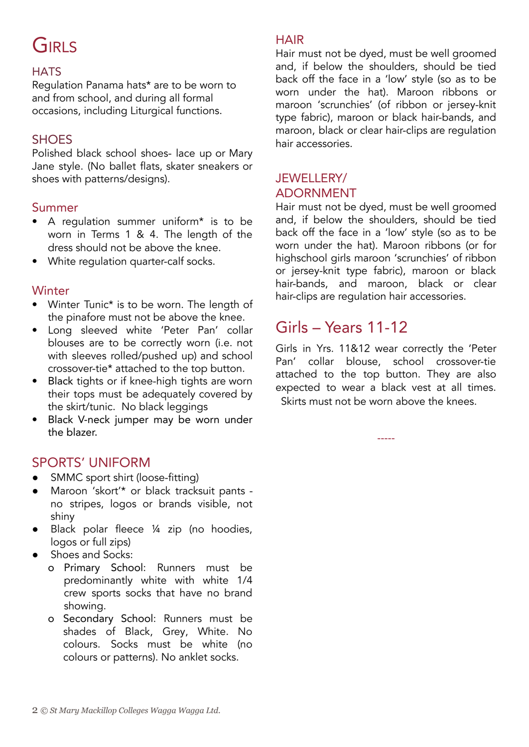## GIRLS

### **HATS**

Regulation Panama hats\* are to be worn to and from school, and during all formal occasions, including Liturgical functions.

### **SHOES**

Polished black school shoes- lace up or Mary Jane style. (No ballet flats, skater sneakers or shoes with patterns/designs).

#### Summer

- A regulation summer uniform\* is to be worn in Terms 1 & 4. The length of the dress should not be above the knee.
- White regulation quarter-calf socks.

### **Winter**

- Winter Tunic\* is to be worn. The length of the pinafore must not be above the knee.
- Long sleeved white 'Peter Pan' collar blouses are to be correctly worn (i.e. not with sleeves rolled/pushed up) and school crossover-tie\* attached to the top button.
- Black tights or if knee-high tights are worn their tops must be adequately covered by the skirt/tunic. No black leggings
- Black V-neck jumper may be worn under the blazer.

### SPORTS' UNIFORM

- SMMC sport shirt (loose-fitting)
- Maroon 'skort'\* or black tracksuit pants no stripes, logos or brands visible, not shiny
- Black polar fleece ¼ zip (no hoodies, logos or full zips)
- **●** Shoes and Socks:
	- o Primary School: Runners must be predominantly white with white 1/4 crew sports socks that have no brand showing.
	- o Secondary School: Runners must be shades of Black, Grey, White. No colours. Socks must be white (no colours or patterns). No anklet socks.

### **HAIR**

Hair must not be dyed, must be well groomed and, if below the shoulders, should be tied back off the face in a 'low' style (so as to be worn under the hat). Maroon ribbons or maroon 'scrunchies' (of ribbon or jersey-knit type fabric), maroon or black hair-bands, and maroon, black or clear hair-clips are regulation hair accessories.

### JEWELLERY/ ADORNMENT

Hair must not be dyed, must be well groomed and, if below the shoulders, should be tied back off the face in a 'low' style (so as to be worn under the hat). Maroon ribbons (or for highschool girls maroon 'scrunchies' of ribbon or jersey-knit type fabric), maroon or black hair-bands, and maroon, black or clear hair-clips are regulation hair accessories.

### Girls – Years 11-12

Girls in Yrs. 11&12 wear correctly the 'Peter Pan' collar blouse, school crossover-tie attached to the top button. They are also expected to wear a black vest at all times. Skirts must not be worn above the knees.

-----